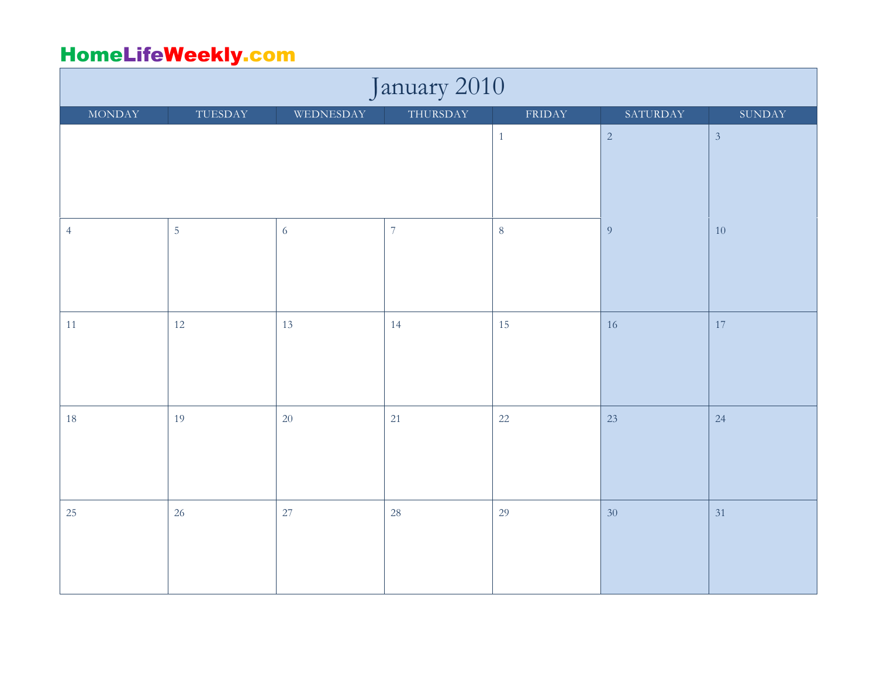| January 2010   |                |                |                |                                |                 |                         |  |  |  |
|----------------|----------------|----------------|----------------|--------------------------------|-----------------|-------------------------|--|--|--|
| <b>MONDAY</b>  | TUESDAY        | WEDNESDAY      | THURSDAY       | $\ensuremath{\mathsf{FRIDAY}}$ | SATURDAY        | $\operatorname{SUNDAY}$ |  |  |  |
|                |                |                |                | $\mathbf{1}$                   | $\overline{c}$  | $\overline{3}$          |  |  |  |
|                |                |                |                |                                |                 |                         |  |  |  |
|                |                |                |                |                                |                 |                         |  |  |  |
| $\overline{4}$ | $\overline{5}$ | $\overline{6}$ | $\overline{7}$ | $\overline{8}$                 | $\overline{9}$  | $10\,$                  |  |  |  |
|                |                |                |                |                                |                 |                         |  |  |  |
|                |                |                |                |                                |                 |                         |  |  |  |
| 11             | 12             | 13             | 14             | 15                             | 16              | 17                      |  |  |  |
|                |                |                |                |                                |                 |                         |  |  |  |
|                |                |                |                |                                |                 |                         |  |  |  |
| 18             | 19             | 20             | 21             | 22                             | 23              | 24                      |  |  |  |
|                |                |                |                |                                |                 |                         |  |  |  |
|                |                |                |                |                                |                 |                         |  |  |  |
| 25             | 26             | 27             | 28             | 29                             | 30 <sup>°</sup> | 31                      |  |  |  |
|                |                |                |                |                                |                 |                         |  |  |  |
|                |                |                |                |                                |                 |                         |  |  |  |
|                |                |                |                |                                |                 |                         |  |  |  |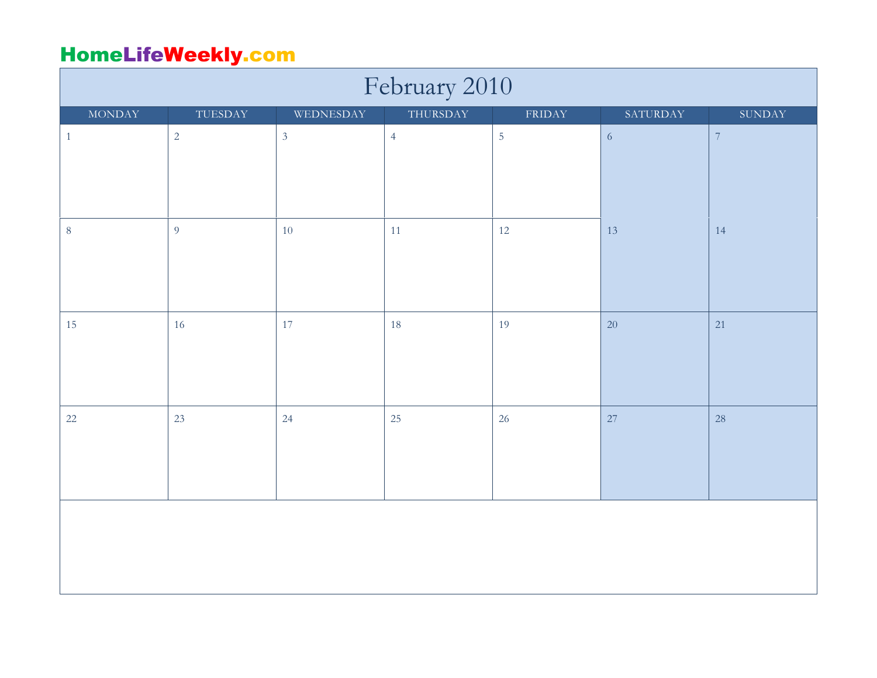| February 2010 |                |                |                |                                |            |               |  |  |
|---------------|----------------|----------------|----------------|--------------------------------|------------|---------------|--|--|
| <b>MONDAY</b> | TUESDAY        | WEDNESDAY      | THURSDAY       | $\ensuremath{\mathsf{FRIDAY}}$ | SATURDAY   | <b>SUNDAY</b> |  |  |
| $\mathbf{1}$  | $\overline{2}$ | $\mathfrak{Z}$ | $\overline{4}$ | $\overline{5}$                 | $\sqrt{6}$ | $\sqrt{ }$    |  |  |
|               |                |                |                |                                |            |               |  |  |
| $\,8\,$       | $\overline{9}$ | $10\,$         | 11             | 12                             | 13         | 14            |  |  |
| 15            | 16             | 17             | 18             | 19                             | 20         | 21            |  |  |
|               |                |                |                |                                |            |               |  |  |
| $22\,$        | 23             | 24             | 25             | 26                             | $27\,$     | 28            |  |  |
|               |                |                |                |                                |            |               |  |  |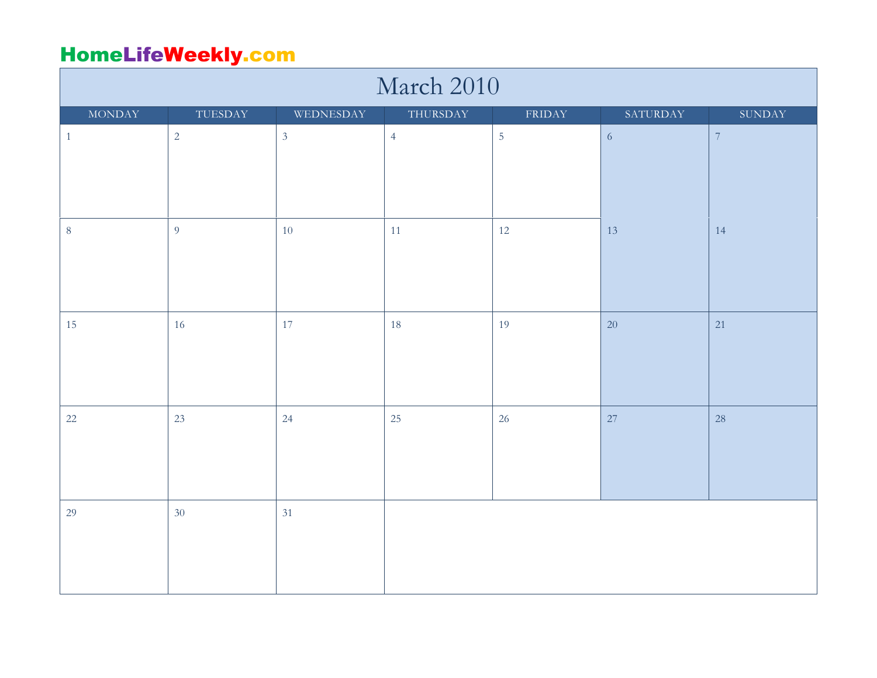| March 2010    |                |                |                |                |            |                |  |  |
|---------------|----------------|----------------|----------------|----------------|------------|----------------|--|--|
| <b>MONDAY</b> | TUESDAY        | WEDNESDAY      | THURSDAY       | <b>FRIDAY</b>  | SATURDAY   | <b>SUNDAY</b>  |  |  |
| $\mathbf{1}$  | $\overline{2}$ | $\mathfrak{Z}$ | $\overline{4}$ | $\overline{5}$ | $\sqrt{6}$ | $\overline{7}$ |  |  |
|               |                |                |                |                |            |                |  |  |
| $\,8\,$       | $\overline{9}$ | 10             | 11             | 12             | 13         | 14             |  |  |
| 15            | 16             | 17             | 18             | 19             | 20         | 21             |  |  |
| $22\,$        | 23             | 24             | 25             | 26             | 27         | 28             |  |  |
| 29            | 30             | 31             |                |                |            |                |  |  |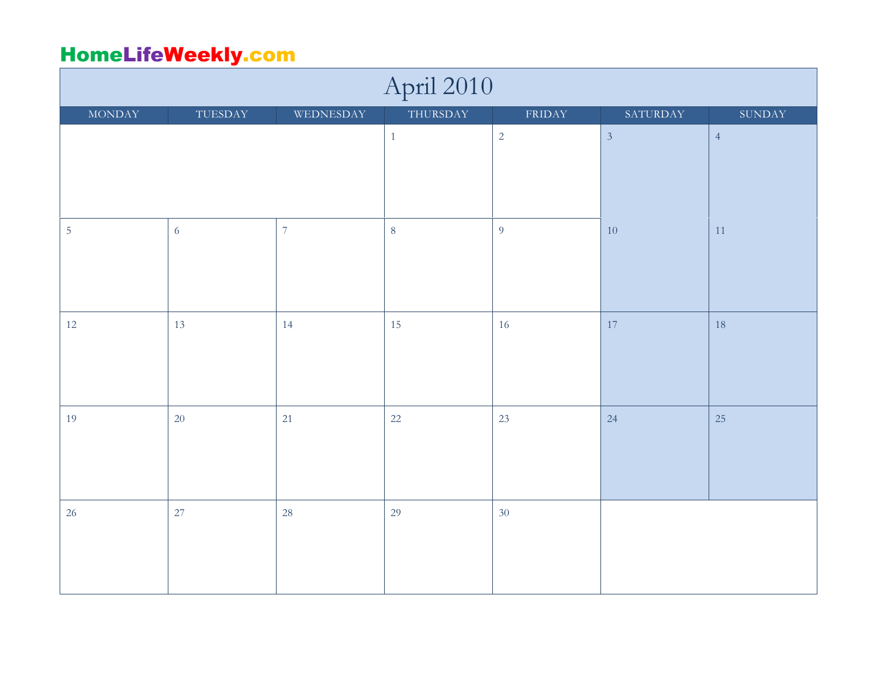| April 2010     |            |                          |          |                                |                |                         |  |  |
|----------------|------------|--------------------------|----------|--------------------------------|----------------|-------------------------|--|--|
| <b>MONDAY</b>  | TUESDAY    | WEDNESDAY                | THURSDAY | $\ensuremath{\mathsf{FRIDAY}}$ | SATURDAY       | $\operatorname{SUNDAY}$ |  |  |
|                |            |                          | $\,1\,$  | $\sqrt{2}$                     | $\overline{3}$ | $\overline{4}$          |  |  |
| $\overline{5}$ | $\sqrt{6}$ | $\overline{\mathcal{I}}$ | $\,8\,$  | $\overline{9}$                 | $10\,$         | 11                      |  |  |
| 12             | 13         | 14                       | 15       | 16                             | 17             | 18                      |  |  |
| 19             | 20         | 21                       | 22       | 23                             | 24             | 25                      |  |  |
| 26             | 27         | 28                       | 29       | 30                             |                |                         |  |  |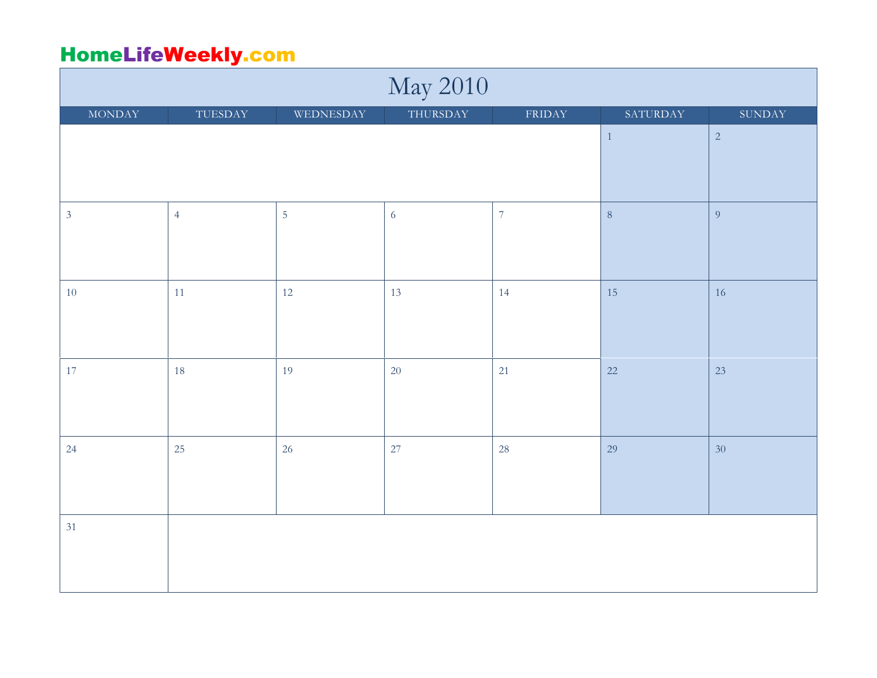| May 2010       |                |            |                 |                |          |                         |  |  |
|----------------|----------------|------------|-----------------|----------------|----------|-------------------------|--|--|
| <b>MONDAY</b>  | TUESDAY        | WEDNESDAY  | <b>THURSDAY</b> | FRIDAY         | SATURDAY | $\operatorname{SUNDAY}$ |  |  |
|                |                | $\,1\,$    | $\overline{c}$  |                |          |                         |  |  |
| $\mathfrak{Z}$ | $\overline{4}$ | $\sqrt{5}$ | $\overline{6}$  | $\overline{7}$ | $\,8\,$  | $\overline{9}$          |  |  |
| $10\,$         | 11             | 12         | 13              | 14             | 15       | 16                      |  |  |
| 17             | 18             | 19         | 20              | 21             | 22       | 23                      |  |  |
| 24             | 25             | 26         | 27              | 28             | 29       | 30                      |  |  |
| 31             |                |            |                 |                |          |                         |  |  |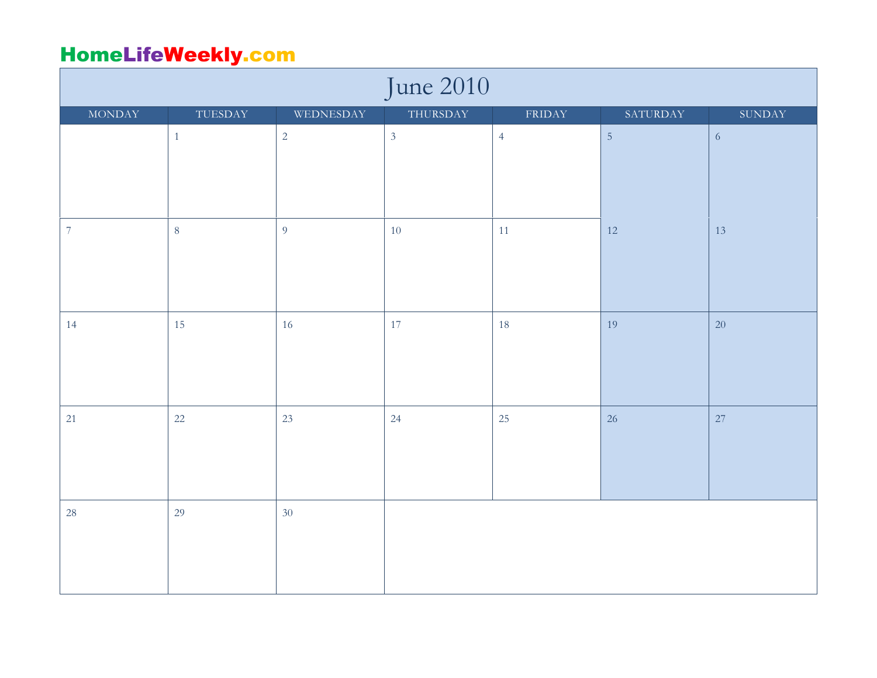| June 2010      |         |                |                |                                |                |                         |  |  |
|----------------|---------|----------------|----------------|--------------------------------|----------------|-------------------------|--|--|
| <b>MONDAY</b>  | TUESDAY | WEDNESDAY      | THURSDAY       | $\ensuremath{\mathsf{FRIDAY}}$ | SATURDAY       | $\operatorname{SUNDAY}$ |  |  |
|                | $1\,$   | $\overline{2}$ | $\overline{3}$ | $\overline{4}$                 | $\overline{5}$ | $\overline{6}$          |  |  |
|                |         |                |                |                                |                |                         |  |  |
|                |         |                |                |                                |                |                         |  |  |
| $\overline{7}$ | $\,8\,$ | $\overline{9}$ | 10             | 11                             | 12             | 13                      |  |  |
|                |         |                |                |                                |                |                         |  |  |
|                |         |                |                |                                |                |                         |  |  |
| 14             | 15      | 16             | 17             | 18                             | 19             | 20                      |  |  |
|                |         |                |                |                                |                |                         |  |  |
|                |         |                |                |                                |                |                         |  |  |
| 21             | 22      | 23             | 24             | 25                             | 26             | 27                      |  |  |
|                |         |                |                |                                |                |                         |  |  |
|                |         |                |                |                                |                |                         |  |  |
| 28             | 29      | 30             |                |                                |                |                         |  |  |
|                |         |                |                |                                |                |                         |  |  |
|                |         |                |                |                                |                |                         |  |  |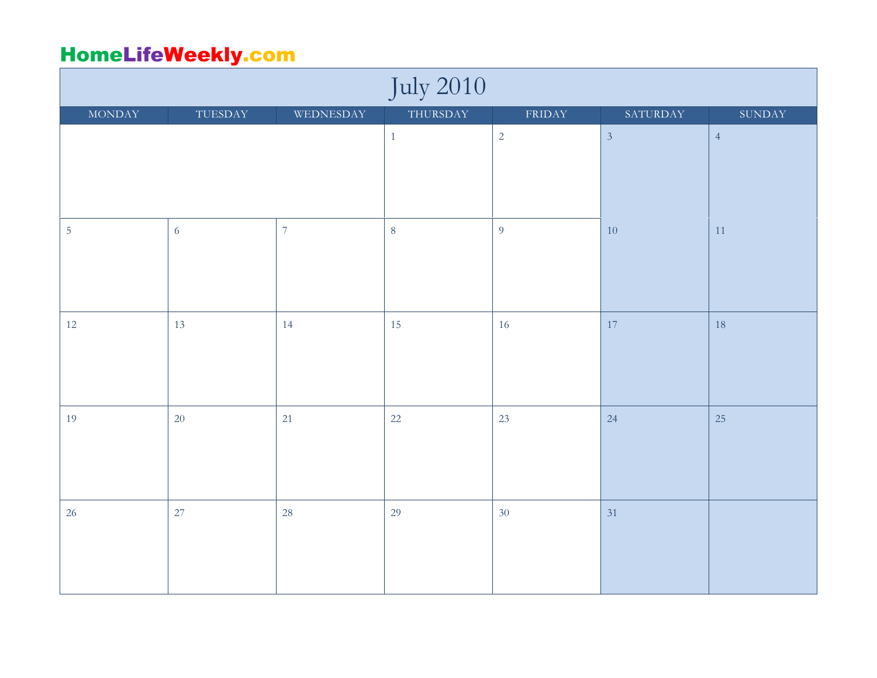| <b>July 2010</b> |            |                |              |                |                |                |  |  |
|------------------|------------|----------------|--------------|----------------|----------------|----------------|--|--|
| <b>MONDAY</b>    | TUESDAY    | WEDNESDAY      | THURSDAY     | FRIDAY         | SATURDAY       | SUNDAY         |  |  |
|                  |            |                | $\mathbf{1}$ | $\sqrt{2}$     | $\overline{3}$ | $\overline{4}$ |  |  |
|                  |            |                |              |                |                |                |  |  |
|                  |            |                |              |                |                |                |  |  |
|                  |            |                |              |                |                |                |  |  |
| $\overline{5}$   | $\sqrt{6}$ | $\overline{7}$ | $\,8\,$      | $\overline{9}$ | $10\,$         | $11\,$         |  |  |
|                  |            |                |              |                |                |                |  |  |
|                  |            |                |              |                |                |                |  |  |
|                  |            |                |              |                |                |                |  |  |
| 12               | 13         | 14             | 15           | 16             | 17             | 18             |  |  |
|                  |            |                |              |                |                |                |  |  |
|                  |            |                |              |                |                |                |  |  |
|                  |            |                |              |                |                |                |  |  |
| 19               | 20         | 21             | $22\,$       | 23             | 24             | 25             |  |  |
|                  |            |                |              |                |                |                |  |  |
|                  |            |                |              |                |                |                |  |  |
|                  |            |                |              |                |                |                |  |  |
| 26               | 27         | 28             | 29           | 30             | 31             |                |  |  |
|                  |            |                |              |                |                |                |  |  |
|                  |            |                |              |                |                |                |  |  |
|                  |            |                |              |                |                |                |  |  |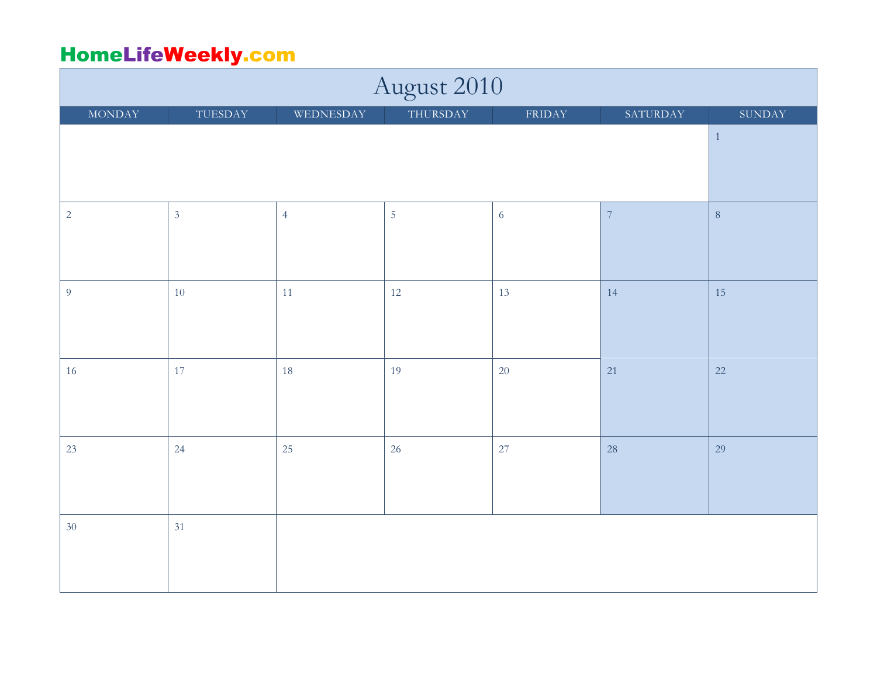| August 2010    |                |                |                |                                |                          |                         |  |  |
|----------------|----------------|----------------|----------------|--------------------------------|--------------------------|-------------------------|--|--|
| <b>MONDAY</b>  | TUESDAY        | WEDNESDAY      | THURSDAY       | $\ensuremath{\mathsf{FRIDAY}}$ | SATURDAY                 | $\operatorname{SUNDAY}$ |  |  |
|                |                |                |                |                                |                          | $\,1\,$                 |  |  |
|                |                |                |                |                                |                          |                         |  |  |
|                |                |                |                |                                |                          |                         |  |  |
| $\overline{2}$ | $\mathfrak{Z}$ | $\overline{4}$ | $\overline{5}$ | $\sqrt{6}$                     | $\overline{\mathcal{I}}$ | $\, 8$                  |  |  |
|                |                |                |                |                                |                          |                         |  |  |
|                |                |                |                |                                |                          |                         |  |  |
| $\overline{9}$ | 10             | 11             | 12             | 13                             | 14                       | 15                      |  |  |
|                |                |                |                |                                |                          |                         |  |  |
|                |                |                |                |                                |                          |                         |  |  |
| 16             | 17             | 18             | 19             | $20\,$                         | 21                       | 22                      |  |  |
|                |                |                |                |                                |                          |                         |  |  |
|                |                |                |                |                                |                          |                         |  |  |
| 23             | 24             | 25             | 26             | 27                             | 28                       | 29                      |  |  |
|                |                |                |                |                                |                          |                         |  |  |
|                |                |                |                |                                |                          |                         |  |  |
| 30             | 31             |                |                |                                |                          |                         |  |  |
|                |                |                |                |                                |                          |                         |  |  |
|                |                |                |                |                                |                          |                         |  |  |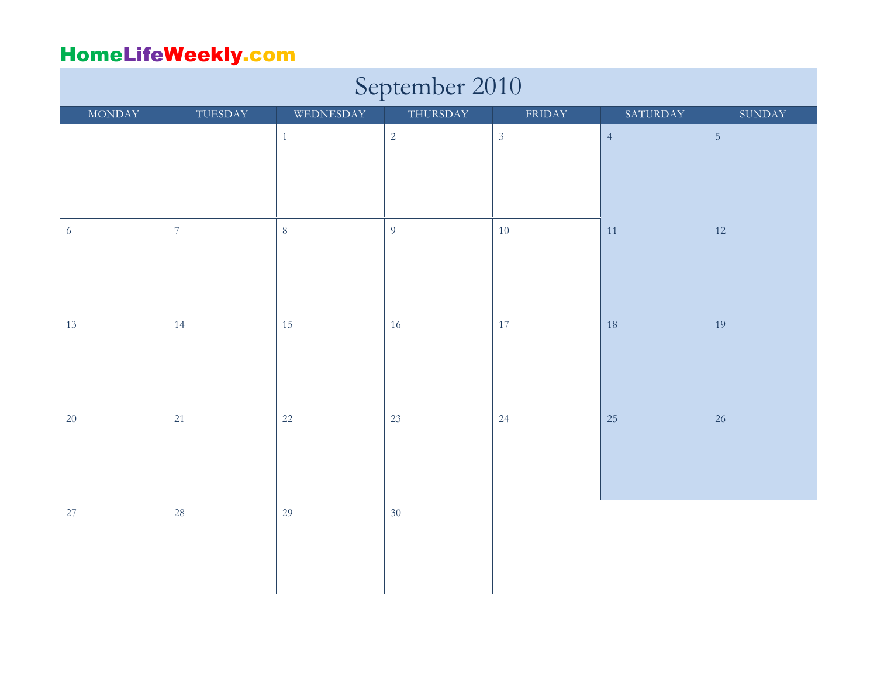| September 2010 |            |           |                |                                |                |                |  |  |  |
|----------------|------------|-----------|----------------|--------------------------------|----------------|----------------|--|--|--|
| <b>MONDAY</b>  | TUESDAY    | WEDNESDAY | THURSDAY       | $\ensuremath{\mathsf{FRIDAY}}$ | SATURDAY       | SUNDAY         |  |  |  |
|                |            | $1\,$     | $\sqrt{2}$     | $\overline{3}$                 | $\overline{4}$ | $\overline{5}$ |  |  |  |
|                |            |           |                |                                |                |                |  |  |  |
| $\sqrt{6}$     | $\sqrt{7}$ | $\, 8$    | $\overline{9}$ | 10                             | 11             | 12             |  |  |  |
| 13             | 14         | 15        | 16             | 17                             | 18             | 19             |  |  |  |
| $20\,$         | 21         | $22\,$    | 23             | 24                             | 25             | 26             |  |  |  |
| 27             | 28         | 29        | 30             |                                |                |                |  |  |  |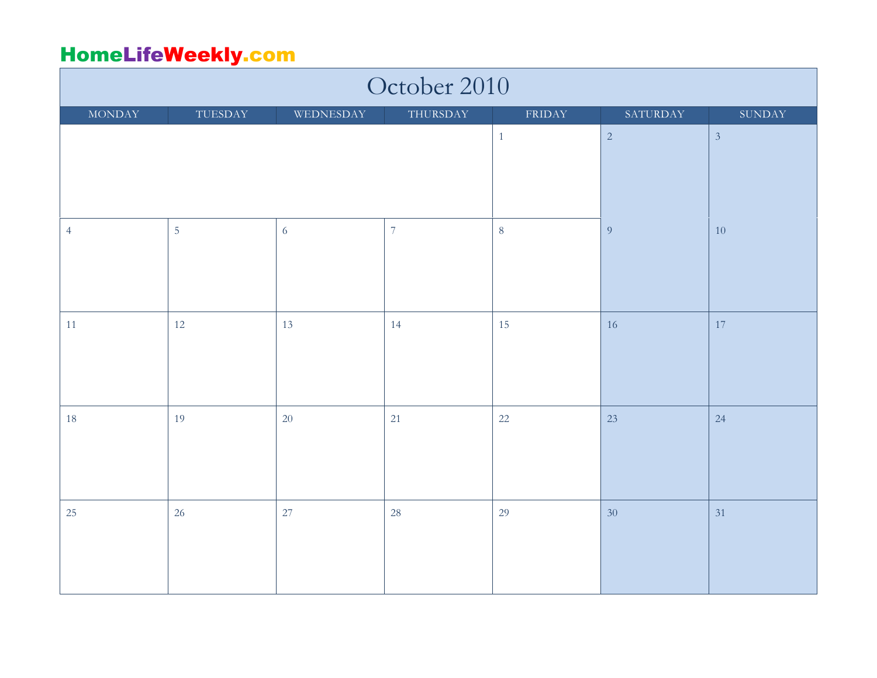| October 2010   |                |                |                |                  |                 |                |  |  |  |
|----------------|----------------|----------------|----------------|------------------|-----------------|----------------|--|--|--|
| <b>MONDAY</b>  | TUESDAY        | WEDNESDAY      | THURSDAY       | FRIDAY           | SATURDAY        | SUNDAY         |  |  |  |
|                |                |                |                | $\mathbf{1}$     | $\overline{c}$  | $\overline{3}$ |  |  |  |
|                |                |                |                |                  |                 |                |  |  |  |
|                |                |                |                |                  |                 |                |  |  |  |
|                |                |                |                |                  |                 |                |  |  |  |
| $\overline{4}$ | $\overline{5}$ | $\overline{6}$ | $\overline{7}$ | $\boldsymbol{8}$ | $\overline{9}$  | $10\,$         |  |  |  |
|                |                |                |                |                  |                 |                |  |  |  |
|                |                |                |                |                  |                 |                |  |  |  |
|                |                |                |                |                  |                 |                |  |  |  |
| 11             | 12             | 13             | 14             | 15               | 16              | 17             |  |  |  |
|                |                |                |                |                  |                 |                |  |  |  |
|                |                |                |                |                  |                 |                |  |  |  |
|                |                |                |                |                  |                 |                |  |  |  |
| 18             | 19             | 20             | 21             | 22               | 23              | 24             |  |  |  |
|                |                |                |                |                  |                 |                |  |  |  |
|                |                |                |                |                  |                 |                |  |  |  |
|                |                |                |                |                  |                 |                |  |  |  |
| 25             | 26             | 27             | $28\,$         | 29               | 30 <sup>°</sup> | 31             |  |  |  |
|                |                |                |                |                  |                 |                |  |  |  |
|                |                |                |                |                  |                 |                |  |  |  |
|                |                |                |                |                  |                 |                |  |  |  |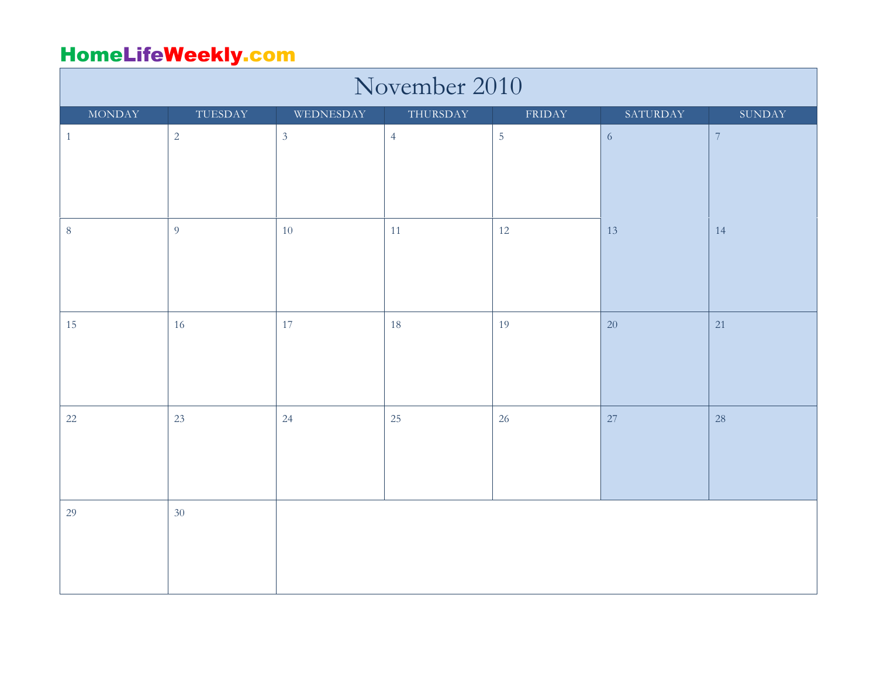| November 2010 |                |                |                |                                |            |                |  |  |
|---------------|----------------|----------------|----------------|--------------------------------|------------|----------------|--|--|
| <b>MONDAY</b> | TUESDAY        | WEDNESDAY      | THURSDAY       | $\ensuremath{\mathsf{FRIDAY}}$ | SATURDAY   | <b>SUNDAY</b>  |  |  |
| $\mathbf{1}$  | $\overline{2}$ | $\overline{3}$ | $\overline{4}$ | $\overline{5}$                 | $\sqrt{6}$ | $\overline{7}$ |  |  |
|               |                |                |                |                                |            |                |  |  |
| $\,8\,$       | $\overline{9}$ | 10             | 11             | 12                             | 13         | 14             |  |  |
|               |                |                |                |                                |            |                |  |  |
| 15            | 16             | 17             | 18             | 19                             | 20         | 21             |  |  |
| $22\,$        | 23             | 24             | 25             | 26                             | 27         | 28             |  |  |
| 29            | 30             |                |                |                                |            |                |  |  |